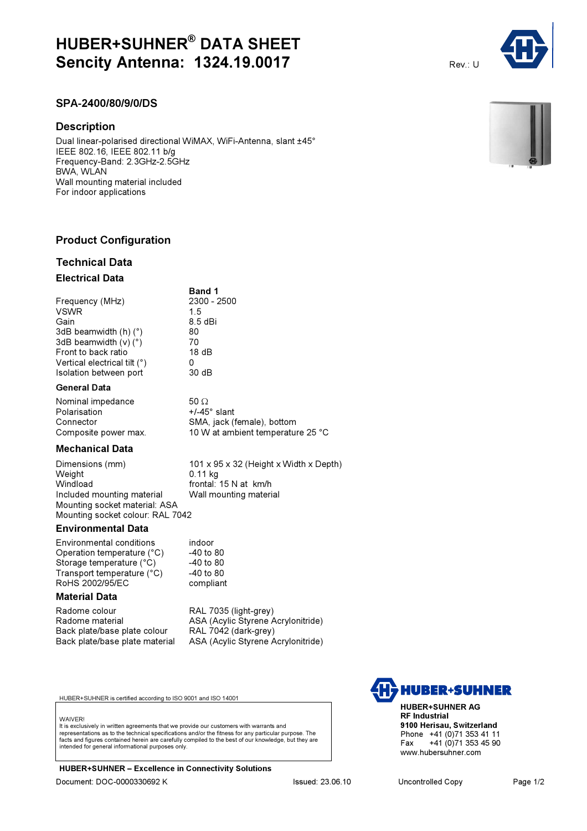# HUBER+SUHNER® DATA SHEET **Sencity Antenna: 1324.19.0017** Rev.: U

# SPA-2400/80/9/0/DS

## **Description**

Dual linear-polarised directional WiMAX, WiFi-Antenna, slant ±45° IEEE 802.16, IEEE 802.11 b/g Frequency-Band: 2.3GHz-2.5GHz BWA, WLAN Wall mounting material included For indoor applications

# Product Configuration

# Technical Data Electrical Data

|                                   | <b>Band 1</b> |
|-----------------------------------|---------------|
| Frequency (MHz)                   | 2300 - 2500   |
| <b>VSWR</b>                       | 15            |
| Gain                              | $8.5$ dBi     |
| 3dB beamwidth $(h)$ ( $\degree$ ) | 80            |
| 3dB beamwidth $(v)$ ( $\degree$ ) | 70            |
| Front to back ratio               | 18dB          |
| Vertical electrical tilt (°)      | 0             |
| Isolation between port            | 30 dB         |

#### General Data

| Nominal impedance    | $50\Omega$                        |
|----------------------|-----------------------------------|
| Polarisation         | $+/-45^{\circ}$ slant             |
| Connector            | SMA, jack (female), bottom        |
| Composite power max. | 10 W at ambient temperature 25 °C |
|                      |                                   |

#### Mechanical Data

Dimensions (mm) 101 x 95 x 32 (Height x Width x Depth)<br>
0.11 kg<br>
0.11 kg  $0.11$  kg Windload **frontal: 15 N at km/h**<br>Included mounting material Wall mounting material Included mounting material Mounting socket material: ASA Mounting socket colour: RAL 7042

#### Environmental Data

Environmental conditions indoor<br>Operation temperature (°C) -40 to 80 Operation temperature (°C)  $-40$  to 80<br>Storage temperature (°C)  $-40$  to 80 Storage temperature (°C) Transport temperature (°C) -40 to 80 RoHS 2002/95/EC compliant

### Material Data

Radome colour **RAL 7035 (light-grey)**<br>Radome material **RAL ASA (Acylic Styrene ASA** Back plate/base plate colour

ASA (Acylic Styrene Acrylonitride)<br>RAL 7042 (dark-grey) Back plate/base plate material ASA (Acylic Styrene Acrylonitride)

HUBER+SUHNER is certified according to ISO 9001 and ISO 14001

#### **WAIVER!**

It is exclusively in written agreements that we provide our customers with warrants and representations as to the technical specifications and/or the fitness for any particular purpose. The facts and figures contained herein are carefully compiled to the best of our knowledge, but they are intended for general informational purposes only.

HUBER+SUHNER – Excellence in Connectivity Solutions



HUBER+SUHNER AG RF Industrial 9100 Herisau, Switzerland Phone +41 (0)71 353 41 11<br>Fax +41 (0)71 353 45 90 +41 (0)71 353 45 90 www.hubersuhner.com